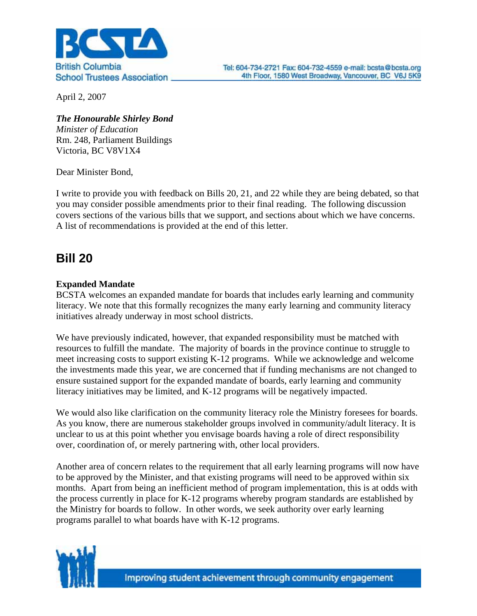

April 2, 2007

*The Honourable Shirley Bond Minister of Education*  Rm. 248, Parliament Buildings Victoria, BC V8V1X4

Dear Minister Bond,

I write to provide you with feedback on Bills 20, 21, and 22 while they are being debated, so that you may consider possible amendments prior to their final reading. The following discussion covers sections of the various bills that we support, and sections about which we have concerns. A list of recommendations is provided at the end of this letter.

# **Bill 20**

## **Expanded Mandate**

BCSTA welcomes an expanded mandate for boards that includes early learning and community literacy. We note that this formally recognizes the many early learning and community literacy initiatives already underway in most school districts.

We have previously indicated, however, that expanded responsibility must be matched with resources to fulfill the mandate. The majority of boards in the province continue to struggle to meet increasing costs to support existing K-12 programs. While we acknowledge and welcome the investments made this year, we are concerned that if funding mechanisms are not changed to ensure sustained support for the expanded mandate of boards, early learning and community literacy initiatives may be limited, and K-12 programs will be negatively impacted.

We would also like clarification on the community literacy role the Ministry foresees for boards. As you know, there are numerous stakeholder groups involved in community/adult literacy. It is unclear to us at this point whether you envisage boards having a role of direct responsibility over, coordination of, or merely partnering with, other local providers.

Another area of concern relates to the requirement that all early learning programs will now have to be approved by the Minister, and that existing programs will need to be approved within six months. Apart from being an inefficient method of program implementation, this is at odds with the process currently in place for K-12 programs whereby program standards are established by the Ministry for boards to follow. In other words, we seek authority over early learning programs parallel to what boards have with K-12 programs.

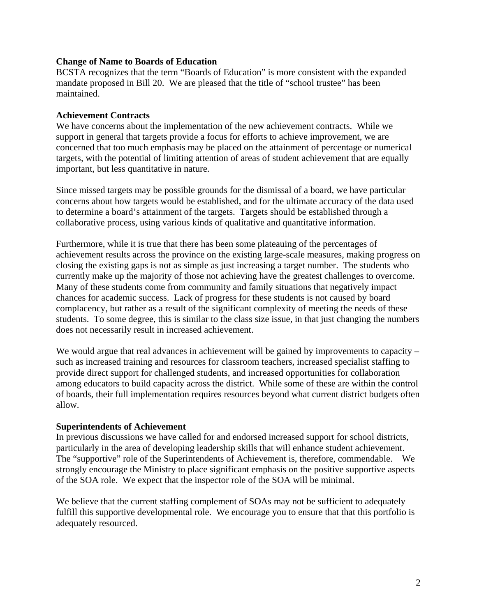#### **Change of Name to Boards of Education**

BCSTA recognizes that the term "Boards of Education" is more consistent with the expanded mandate proposed in Bill 20. We are pleased that the title of "school trustee" has been maintained.

### **Achievement Contracts**

We have concerns about the implementation of the new achievement contracts. While we support in general that targets provide a focus for efforts to achieve improvement, we are concerned that too much emphasis may be placed on the attainment of percentage or numerical targets, with the potential of limiting attention of areas of student achievement that are equally important, but less quantitative in nature.

Since missed targets may be possible grounds for the dismissal of a board, we have particular concerns about how targets would be established, and for the ultimate accuracy of the data used to determine a board's attainment of the targets. Targets should be established through a collaborative process, using various kinds of qualitative and quantitative information.

Furthermore, while it is true that there has been some plateauing of the percentages of achievement results across the province on the existing large-scale measures, making progress on closing the existing gaps is not as simple as just increasing a target number. The students who currently make up the majority of those not achieving have the greatest challenges to overcome. Many of these students come from community and family situations that negatively impact chances for academic success. Lack of progress for these students is not caused by board complacency, but rather as a result of the significant complexity of meeting the needs of these students. To some degree, this is similar to the class size issue, in that just changing the numbers does not necessarily result in increased achievement.

We would argue that real advances in achievement will be gained by improvements to capacity – such as increased training and resources for classroom teachers, increased specialist staffing to provide direct support for challenged students, and increased opportunities for collaboration among educators to build capacity across the district. While some of these are within the control of boards, their full implementation requires resources beyond what current district budgets often allow.

### **Superintendents of Achievement**

In previous discussions we have called for and endorsed increased support for school districts, particularly in the area of developing leadership skills that will enhance student achievement. The "supportive" role of the Superintendents of Achievement is, therefore, commendable. We strongly encourage the Ministry to place significant emphasis on the positive supportive aspects of the SOA role. We expect that the inspector role of the SOA will be minimal.

We believe that the current staffing complement of SOAs may not be sufficient to adequately fulfill this supportive developmental role. We encourage you to ensure that that this portfolio is adequately resourced.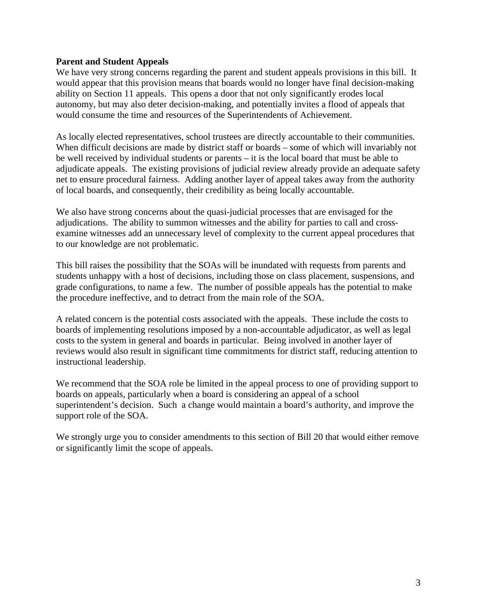### **Parent and Student Appeals**

We have very strong concerns regarding the parent and student appeals provisions in this bill. It would appear that this provision means that boards would no longer have final decision-making ability on Section 11 appeals. This opens a door that not only significantly erodes local autonomy, but may also deter decision-making, and potentially invites a flood of appeals that would consume the time and resources of the Superintendents of Achievement.

As locally elected representatives, school trustees are directly accountable to their communities. When difficult decisions are made by district staff or boards – some of which will invariably not be well received by individual students or parents – it is the local board that must be able to adjudicate appeals. The existing provisions of judicial review already provide an adequate safety net to ensure procedural fairness. Adding another layer of appeal takes away from the authority of local boards, and consequently, their credibility as being locally accountable.

We also have strong concerns about the quasi-judicial processes that are envisaged for the adjudications. The ability to summon witnesses and the ability for parties to call and crossexamine witnesses add an unnecessary level of complexity to the current appeal procedures that to our knowledge are not problematic.

This bill raises the possibility that the SOAs will be inundated with requests from parents and students unhappy with a host of decisions, including those on class placement, suspensions, and grade configurations, to name a few. The number of possible appeals has the potential to make the procedure ineffective, and to detract from the main role of the SOA.

A related concern is the potential costs associated with the appeals. These include the costs to boards of implementing resolutions imposed by a non-accountable adjudicator, as well as legal costs to the system in general and boards in particular. Being involved in another layer of reviews would also result in significant time commitments for district staff, reducing attention to instructional leadership.

We recommend that the SOA role be limited in the appeal process to one of providing support to boards on appeals, particularly when a board is considering an appeal of a school superintendent's decision. Such a change would maintain a board's authority, and improve the support role of the SOA.

We strongly urge you to consider amendments to this section of Bill 20 that would either remove or significantly limit the scope of appeals.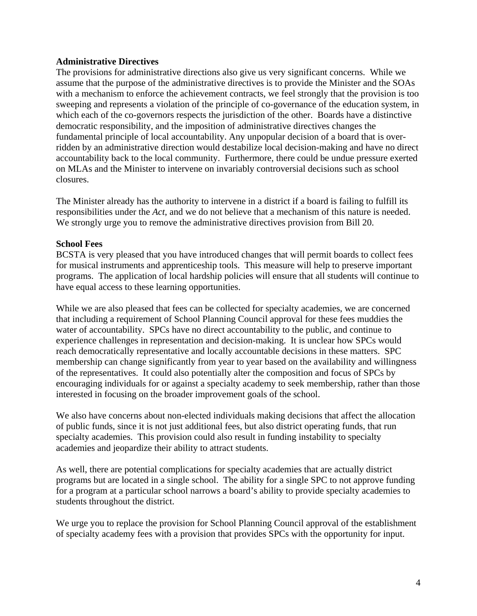### **Administrative Directives**

The provisions for administrative directions also give us very significant concerns. While we assume that the purpose of the administrative directives is to provide the Minister and the SOAs with a mechanism to enforce the achievement contracts, we feel strongly that the provision is too sweeping and represents a violation of the principle of co-governance of the education system, in which each of the co-governors respects the jurisdiction of the other. Boards have a distinctive democratic responsibility, and the imposition of administrative directives changes the fundamental principle of local accountability. Any unpopular decision of a board that is overridden by an administrative direction would destabilize local decision-making and have no direct accountability back to the local community. Furthermore, there could be undue pressure exerted on MLAs and the Minister to intervene on invariably controversial decisions such as school closures.

The Minister already has the authority to intervene in a district if a board is failing to fulfill its responsibilities under the *Act*, and we do not believe that a mechanism of this nature is needed. We strongly urge you to remove the administrative directives provision from Bill 20.

### **School Fees**

BCSTA is very pleased that you have introduced changes that will permit boards to collect fees for musical instruments and apprenticeship tools. This measure will help to preserve important programs. The application of local hardship policies will ensure that all students will continue to have equal access to these learning opportunities.

While we are also pleased that fees can be collected for specialty academies, we are concerned that including a requirement of School Planning Council approval for these fees muddies the water of accountability. SPCs have no direct accountability to the public, and continue to experience challenges in representation and decision-making. It is unclear how SPCs would reach democratically representative and locally accountable decisions in these matters. SPC membership can change significantly from year to year based on the availability and willingness of the representatives. It could also potentially alter the composition and focus of SPCs by encouraging individuals for or against a specialty academy to seek membership, rather than those interested in focusing on the broader improvement goals of the school.

We also have concerns about non-elected individuals making decisions that affect the allocation of public funds, since it is not just additional fees, but also district operating funds, that run specialty academies. This provision could also result in funding instability to specialty academies and jeopardize their ability to attract students.

As well, there are potential complications for specialty academies that are actually district programs but are located in a single school. The ability for a single SPC to not approve funding for a program at a particular school narrows a board's ability to provide specialty academies to students throughout the district.

We urge you to replace the provision for School Planning Council approval of the establishment of specialty academy fees with a provision that provides SPCs with the opportunity for input.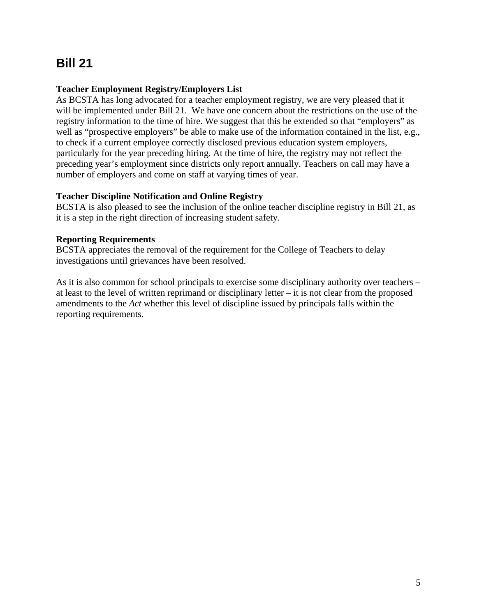# **Bill 21**

## **Teacher Employment Registry/Employers List**

As BCSTA has long advocated for a teacher employment registry, we are very pleased that it will be implemented under Bill 21. We have one concern about the restrictions on the use of the registry information to the time of hire. We suggest that this be extended so that "employers" as well as "prospective employers" be able to make use of the information contained in the list, e.g., to check if a current employee correctly disclosed previous education system employers, particularly for the year preceding hiring. At the time of hire, the registry may not reflect the preceding year's employment since districts only report annually. Teachers on call may have a number of employers and come on staff at varying times of year.

## **Teacher Discipline Notification and Online Registry**

BCSTA is also pleased to see the inclusion of the online teacher discipline registry in Bill 21, as it is a step in the right direction of increasing student safety.

## **Reporting Requirements**

BCSTA appreciates the removal of the requirement for the College of Teachers to delay investigations until grievances have been resolved.

As it is also common for school principals to exercise some disciplinary authority over teachers – at least to the level of written reprimand or disciplinary letter – it is not clear from the proposed amendments to the *Act* whether this level of discipline issued by principals falls within the reporting requirements.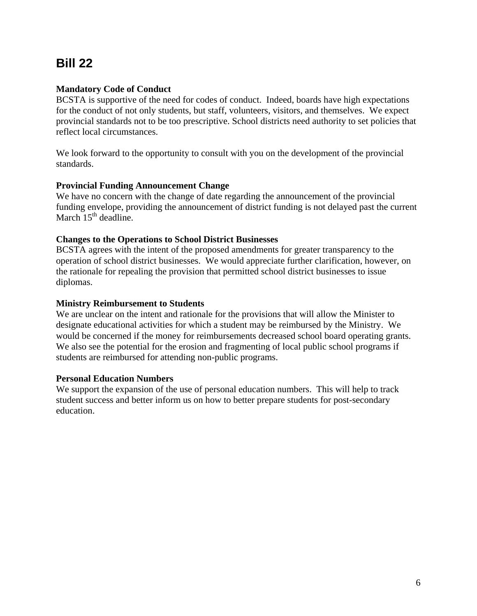# **Bill 22**

## **Mandatory Code of Conduct**

BCSTA is supportive of the need for codes of conduct. Indeed, boards have high expectations for the conduct of not only students, but staff, volunteers, visitors, and themselves. We expect provincial standards not to be too prescriptive. School districts need authority to set policies that reflect local circumstances.

We look forward to the opportunity to consult with you on the development of the provincial standards.

## **Provincial Funding Announcement Change**

We have no concern with the change of date regarding the announcement of the provincial funding envelope, providing the announcement of district funding is not delayed past the current March  $15<sup>th</sup>$  deadline.

## **Changes to the Operations to School District Businesses**

BCSTA agrees with the intent of the proposed amendments for greater transparency to the operation of school district businesses. We would appreciate further clarification, however, on the rationale for repealing the provision that permitted school district businesses to issue diplomas.

## **Ministry Reimbursement to Students**

We are unclear on the intent and rationale for the provisions that will allow the Minister to designate educational activities for which a student may be reimbursed by the Ministry. We would be concerned if the money for reimbursements decreased school board operating grants. We also see the potential for the erosion and fragmenting of local public school programs if students are reimbursed for attending non-public programs.

## **Personal Education Numbers**

We support the expansion of the use of personal education numbers. This will help to track student success and better inform us on how to better prepare students for post-secondary education.